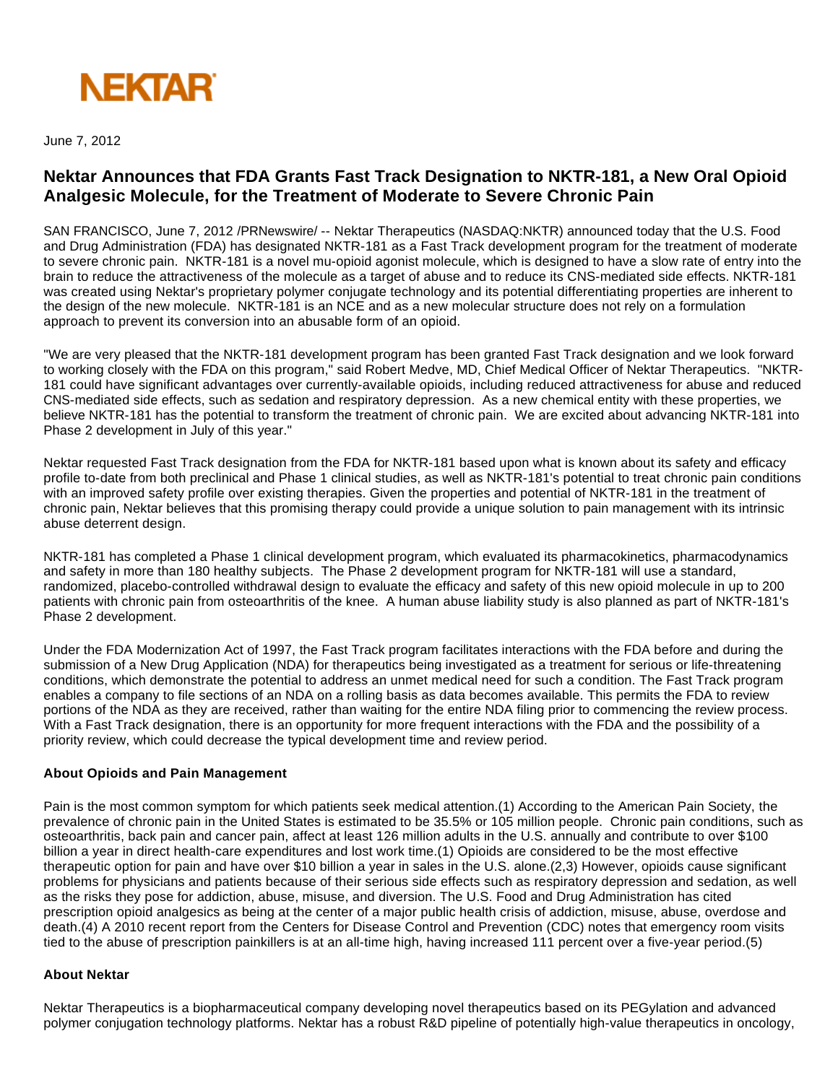

June 7, 2012

## **Nektar Announces that FDA Grants Fast Track Designation to NKTR-181, a New Oral Opioid Analgesic Molecule, for the Treatment of Moderate to Severe Chronic Pain**

SAN FRANCISCO, June 7, 2012 /PRNewswire/ -- Nektar Therapeutics (NASDAQ:NKTR) announced today that the U.S. Food and Drug Administration (FDA) has designated NKTR-181 as a Fast Track development program for the treatment of moderate to severe chronic pain. NKTR-181 is a novel mu-opioid agonist molecule, which is designed to have a slow rate of entry into the brain to reduce the attractiveness of the molecule as a target of abuse and to reduce its CNS-mediated side effects. NKTR-181 was created using Nektar's proprietary polymer conjugate technology and its potential differentiating properties are inherent to the design of the new molecule. NKTR-181 is an NCE and as a new molecular structure does not rely on a formulation approach to prevent its conversion into an abusable form of an opioid.

"We are very pleased that the NKTR-181 development program has been granted Fast Track designation and we look forward to working closely with the FDA on this program," said Robert Medve, MD, Chief Medical Officer of Nektar Therapeutics. "NKTR-181 could have significant advantages over currently-available opioids, including reduced attractiveness for abuse and reduced CNS-mediated side effects, such as sedation and respiratory depression. As a new chemical entity with these properties, we believe NKTR-181 has the potential to transform the treatment of chronic pain. We are excited about advancing NKTR-181 into Phase 2 development in July of this year."

Nektar requested Fast Track designation from the FDA for NKTR-181 based upon what is known about its safety and efficacy profile to-date from both preclinical and Phase 1 clinical studies, as well as NKTR-181's potential to treat chronic pain conditions with an improved safety profile over existing therapies. Given the properties and potential of NKTR-181 in the treatment of chronic pain, Nektar believes that this promising therapy could provide a unique solution to pain management with its intrinsic abuse deterrent design.

NKTR-181 has completed a Phase 1 clinical development program, which evaluated its pharmacokinetics, pharmacodynamics and safety in more than 180 healthy subjects. The Phase 2 development program for NKTR-181 will use a standard, randomized, placebo-controlled withdrawal design to evaluate the efficacy and safety of this new opioid molecule in up to 200 patients with chronic pain from osteoarthritis of the knee. A human abuse liability study is also planned as part of NKTR-181's Phase 2 development.

Under the FDA Modernization Act of 1997, the Fast Track program facilitates interactions with the FDA before and during the submission of a New Drug Application (NDA) for therapeutics being investigated as a treatment for serious or life-threatening conditions, which demonstrate the potential to address an unmet medical need for such a condition. The Fast Track program enables a company to file sections of an NDA on a rolling basis as data becomes available. This permits the FDA to review portions of the NDA as they are received, rather than waiting for the entire NDA filing prior to commencing the review process. With a Fast Track designation, there is an opportunity for more frequent interactions with the FDA and the possibility of a priority review, which could decrease the typical development time and review period.

## **About Opioids and Pain Management**

Pain is the most common symptom for which patients seek medical attention.(1) According to the American Pain Society, the prevalence of chronic pain in the United States is estimated to be 35.5% or 105 million people. Chronic pain conditions, such as osteoarthritis, back pain and cancer pain, affect at least 126 million adults in the U.S. annually and contribute to over \$100 billion a year in direct health-care expenditures and lost work time.(1) Opioids are considered to be the most effective therapeutic option for pain and have over \$10 billion a year in sales in the U.S. alone.(2,3) However, opioids cause significant problems for physicians and patients because of their serious side effects such as respiratory depression and sedation, as well as the risks they pose for addiction, abuse, misuse, and diversion. The U.S. Food and Drug Administration has cited prescription opioid analgesics as being at the center of a major public health crisis of addiction, misuse, abuse, overdose and death.(4) A 2010 recent report from the Centers for Disease Control and Prevention (CDC) notes that emergency room visits tied to the abuse of prescription painkillers is at an all-time high, having increased 111 percent over a five-year period.(5)

## **About Nektar**

Nektar Therapeutics is a biopharmaceutical company developing novel therapeutics based on its PEGylation and advanced polymer conjugation technology platforms. Nektar has a robust R&D pipeline of potentially high-value therapeutics in oncology,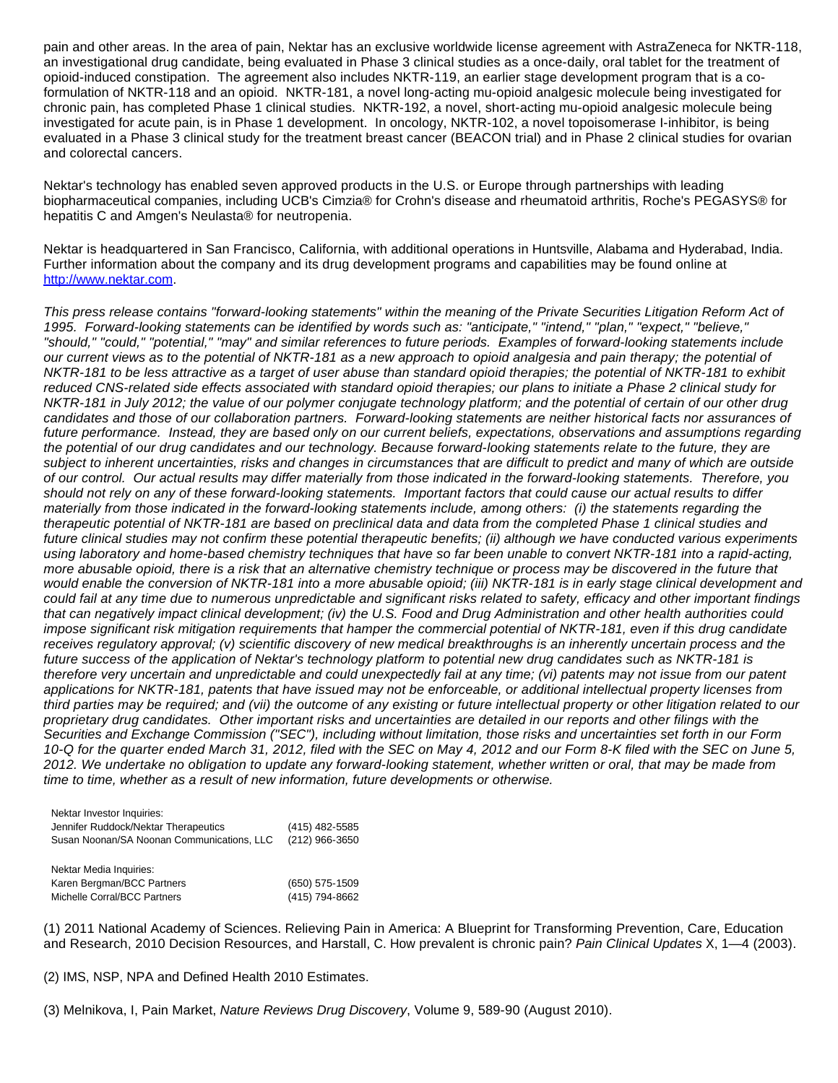pain and other areas. In the area of pain, Nektar has an exclusive worldwide license agreement with AstraZeneca for NKTR-118, an investigational drug candidate, being evaluated in Phase 3 clinical studies as a once-daily, oral tablet for the treatment of opioid-induced constipation. The agreement also includes NKTR-119, an earlier stage development program that is a coformulation of NKTR-118 and an opioid. NKTR-181, a novel long-acting mu-opioid analgesic molecule being investigated for chronic pain, has completed Phase 1 clinical studies. NKTR-192, a novel, short-acting mu-opioid analgesic molecule being investigated for acute pain, is in Phase 1 development. In oncology, NKTR-102, a novel topoisomerase I-inhibitor, is being evaluated in a Phase 3 clinical study for the treatment breast cancer (BEACON trial) and in Phase 2 clinical studies for ovarian and colorectal cancers.

Nektar's technology has enabled seven approved products in the U.S. or Europe through partnerships with leading biopharmaceutical companies, including UCB's Cimzia® for Crohn's disease and rheumatoid arthritis, Roche's PEGASYS® for hepatitis C and Amgen's Neulasta® for neutropenia.

Nektar is headquartered in San Francisco, California, with additional operations in Huntsville, Alabama and Hyderabad, India. Further information about the company and its drug development programs and capabilities may be found online at [http://www.nektar.com](http://www.nektar.com/).

This press release contains "forward-looking statements" within the meaning of the Private Securities Litigation Reform Act of 1995. Forward-looking statements can be identified by words such as: "anticipate," "intend," "plan," "expect," "believe," "should," "could," "potential," "may" and similar references to future periods. Examples of forward-looking statements include our current views as to the potential of NKTR-181 as a new approach to opioid analgesia and pain therapy; the potential of NKTR-181 to be less attractive as a target of user abuse than standard opioid therapies; the potential of NKTR-181 to exhibit reduced CNS-related side effects associated with standard opioid therapies; our plans to initiate a Phase 2 clinical study for NKTR-181 in July 2012; the value of our polymer conjugate technology platform; and the potential of certain of our other drug candidates and those of our collaboration partners. Forward-looking statements are neither historical facts nor assurances of future performance. Instead, they are based only on our current beliefs, expectations, observations and assumptions regarding the potential of our drug candidates and our technology. Because forward-looking statements relate to the future, they are subject to inherent uncertainties, risks and changes in circumstances that are difficult to predict and many of which are outside of our control. Our actual results may differ materially from those indicated in the forward-looking statements. Therefore, you should not rely on any of these forward-looking statements. Important factors that could cause our actual results to differ materially from those indicated in the forward-looking statements include, among others: (i) the statements regarding the therapeutic potential of NKTR-181 are based on preclinical data and data from the completed Phase 1 clinical studies and future clinical studies may not confirm these potential therapeutic benefits; (ii) although we have conducted various experiments using laboratory and home-based chemistry techniques that have so far been unable to convert NKTR-181 into a rapid-acting, more abusable opioid, there is a risk that an alternative chemistry technique or process may be discovered in the future that would enable the conversion of NKTR-181 into a more abusable opioid; (iii) NKTR-181 is in early stage clinical development and could fail at any time due to numerous unpredictable and significant risks related to safety, efficacy and other important findings that can negatively impact clinical development; (iv) the U.S. Food and Drug Administration and other health authorities could impose significant risk mitigation requirements that hamper the commercial potential of NKTR-181, even if this drug candidate receives regulatory approval; (v) scientific discovery of new medical breakthroughs is an inherently uncertain process and the future success of the application of Nektar's technology platform to potential new drug candidates such as NKTR-181 is therefore very uncertain and unpredictable and could unexpectedly fail at any time; (vi) patents may not issue from our patent applications for NKTR-181, patents that have issued may not be enforceable, or additional intellectual property licenses from third parties may be required; and (vii) the outcome of any existing or future intellectual property or other litigation related to our proprietary drug candidates. Other important risks and uncertainties are detailed in our reports and other filings with the Securities and Exchange Commission ("SEC"), including without limitation, those risks and uncertainties set forth in our Form 10-Q for the quarter ended March 31, 2012, filed with the SEC on May 4, 2012 and our Form 8-K filed with the SEC on June 5, 2012. We undertake no obligation to update any forward-looking statement, whether written or oral, that may be made from time to time, whether as a result of new information, future developments or otherwise.

| Nektar Investor Inquiries:                 |                |
|--------------------------------------------|----------------|
| Jennifer Ruddock/Nektar Therapeutics       | (415) 482-5585 |
| Susan Noonan/SA Noonan Communications, LLC | (212) 966-3650 |
| Nektar Media Inquiries:                    |                |
| Karen Bergman/BCC Partners                 | (650) 575-1509 |
| Michelle Corral/BCC Partners               | (415) 794-8662 |

(1) 2011 National Academy of Sciences. Relieving Pain in America: A Blueprint for Transforming Prevention, Care, Education and Research, 2010 Decision Resources, and Harstall, C. How prevalent is chronic pain? Pain Clinical Updates X, 1—4 (2003).

(2) IMS, NSP, NPA and Defined Health 2010 Estimates.

(3) Melnikova, I, Pain Market, Nature Reviews Drug Discovery, Volume 9, 589-90 (August 2010).